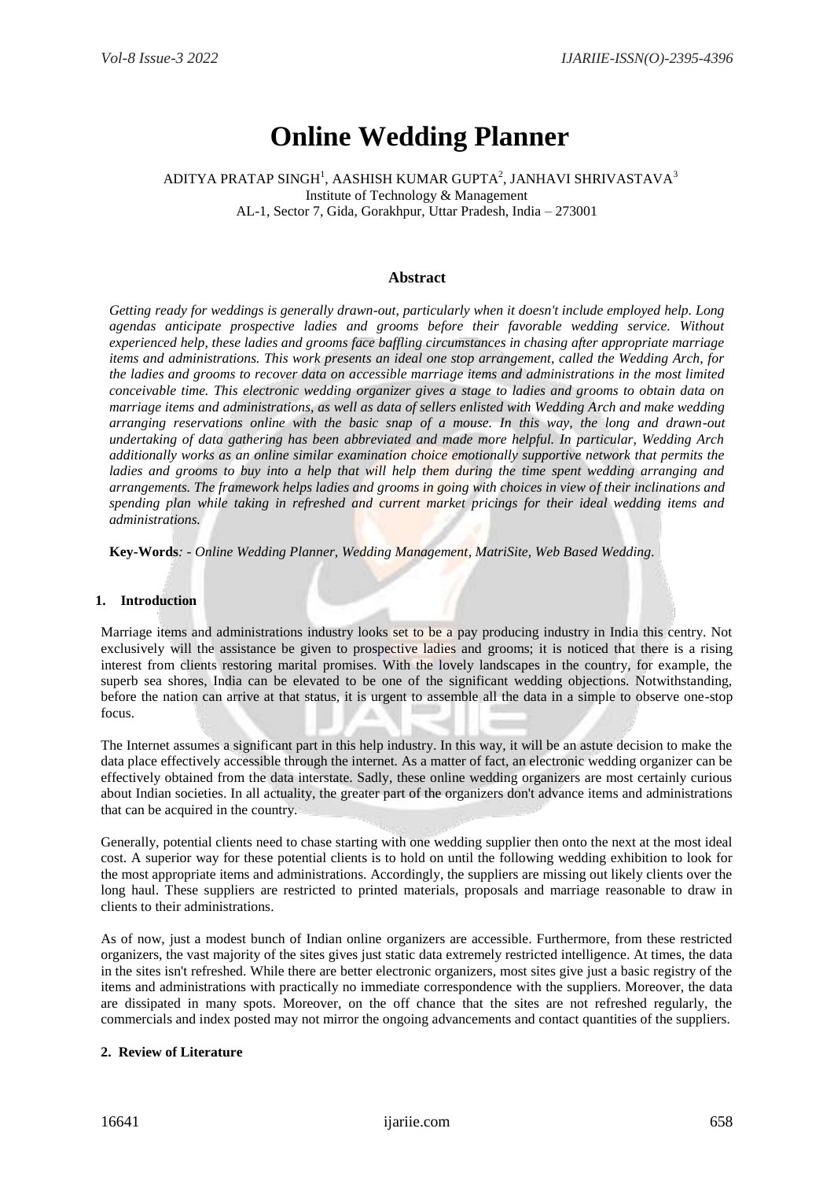# **Online Wedding Planner**

ADITYA PRATAP SINGH $^{\rm l}$ , AASHISH KUMAR GUPTA $^{\rm 2}$ , JANHAVI SHRIVASTAVA $^{\rm 3}$ Institute of Technology & Management AL-1, Sector 7, Gida, Gorakhpur, Uttar Pradesh, India – 273001

## **Abstract**

*Getting ready for weddings is generally drawn-out, particularly when it doesn't include employed help. Long agendas anticipate prospective ladies and grooms before their favorable wedding service. Without experienced help, these ladies and grooms face baffling circumstances in chasing after appropriate marriage items and administrations. This work presents an ideal one stop arrangement, called the Wedding Arch, for the ladies and grooms to recover data on accessible marriage items and administrations in the most limited conceivable time. This electronic wedding organizer gives a stage to ladies and grooms to obtain data on marriage items and administrations, as well as data of sellers enlisted with Wedding Arch and make wedding arranging reservations online with the basic snap of a mouse. In this way, the long and drawn-out undertaking of data gathering has been abbreviated and made more helpful. In particular, Wedding Arch additionally works as an online similar examination choice emotionally supportive network that permits the ladies and grooms to buy into a help that will help them during the time spent wedding arranging and arrangements. The framework helps ladies and grooms in going with choices in view of their inclinations and spending plan while taking in refreshed and current market pricings for their ideal wedding items and administrations.*

**Key-Words***: - Online Wedding Planner, Wedding Management, MatriSite, Web Based Wedding.*

## **1. Introduction**

Marriage items and administrations industry looks set to be a pay producing industry in India this centry. Not exclusively will the assistance be given to prospective ladies and grooms; it is noticed that there is a rising interest from clients restoring marital promises. With the lovely landscapes in the country, for example, the superb sea shores, India can be elevated to be one of the significant wedding objections. Notwithstanding, before the nation can arrive at that status, it is urgent to assemble all the data in a simple to observe one-stop focus.

The Internet assumes a significant part in this help industry. In this way, it will be an astute decision to make the data place effectively accessible through the internet. As a matter of fact, an electronic wedding organizer can be effectively obtained from the data interstate. Sadly, these online wedding organizers are most certainly curious about Indian societies. In all actuality, the greater part of the organizers don't advance items and administrations that can be acquired in the country.

Generally, potential clients need to chase starting with one wedding supplier then onto the next at the most ideal cost. A superior way for these potential clients is to hold on until the following wedding exhibition to look for the most appropriate items and administrations. Accordingly, the suppliers are missing out likely clients over the long haul. These suppliers are restricted to printed materials, proposals and marriage reasonable to draw in clients to their administrations.

As of now, just a modest bunch of Indian online organizers are accessible. Furthermore, from these restricted organizers, the vast majority of the sites gives just static data extremely restricted intelligence. At times, the data in the sites isn't refreshed. While there are better electronic organizers, most sites give just a basic registry of the items and administrations with practically no immediate correspondence with the suppliers. Moreover, the data are dissipated in many spots. Moreover, on the off chance that the sites are not refreshed regularly, the commercials and index posted may not mirror the ongoing advancements and contact quantities of the suppliers.

## **2. Review of Literature**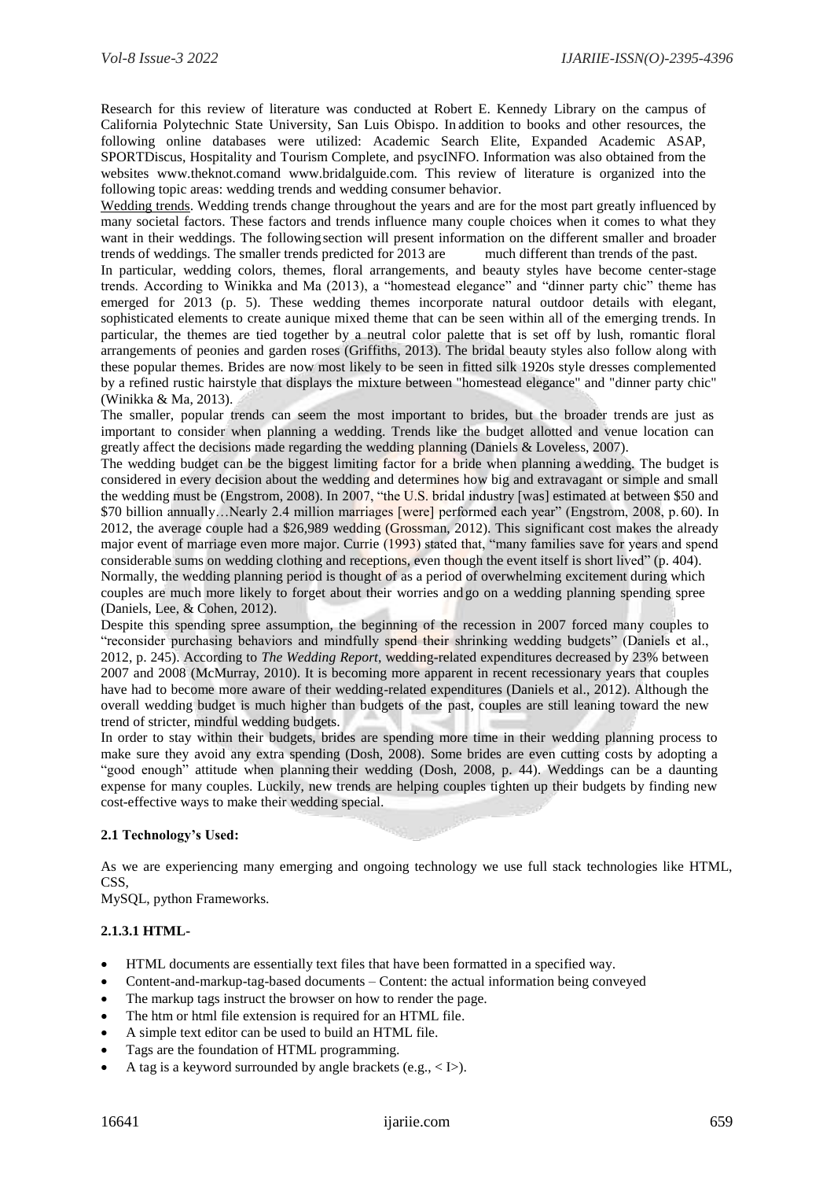Research for this review of literature was conducted at Robert E. Kennedy Library on the campus of California Polytechnic State University, San Luis Obispo. In addition to books and other resources, the following online databases were utilized: Academic Search Elite, Expanded Academic ASAP, SPORTDiscus, Hospitality and Tourism Complete, and psycINFO. Information was also obtained from the websites [www.theknot.coma](http://www.theknot.com/)nd [www.bridalguide.com.](http://www.bridalguide.com/) This review of literature is organized into the following topic areas: wedding trends and wedding consumer behavior.

Wedding trends. Wedding trends change throughout the years and are for the most part greatly influenced by many societal factors. These factors and trends influence many couple choices when it comes to what they want in their weddings. The followingsection will present information on the different smaller and broader trends of weddings. The smaller trends predicted for 2013 are much different than trends of the past. In particular, wedding colors, themes, floral arrangements, and beauty styles have become center-stage trends. According to Winikka and Ma (2013), a "homestead elegance" and "dinner party chic" theme has emerged for 2013 (p. 5). These wedding themes incorporate natural outdoor details with elegant, sophisticated elements to create aunique mixed theme that can be seen within all of the emerging trends. In particular, the themes are tied together by a neutral color palette that is set off by lush, romantic floral arrangements of peonies and garden roses (Griffiths, 2013). The bridal beauty styles also follow along with these popular themes. Brides are now most likely to be seen in fitted silk 1920s style dresses complemented by a refined rustic hairstyle that displays the mixture between "homestead elegance" and "dinner party chic" (Winikka & Ma, 2013).

The smaller, popular trends can seem the most important to brides, but the broader trends are just as important to consider when planning a wedding. Trends like the budget allotted and venue location can greatly affect the decisions made regarding the wedding planning (Daniels & Loveless, 2007).

The wedding budget can be the biggest limiting factor for a bride when planning awedding. The budget is considered in every decision about the wedding and determines how big and extravagant or simple and small the wedding must be (Engstrom, 2008). In 2007, "the U.S. bridal industry [was] estimated at between \$50 and \$70 billion annually…Nearly 2.4 million marriages [were] performed each year" (Engstrom, 2008, p.60). In 2012, the average couple had a \$26,989 wedding (Grossman, 2012). This significant cost makes the already major event of marriage even more major. Currie (1993) stated that, "many families save for years and spend considerable sums on wedding clothing and receptions, even though the event itself is short lived" (p. 404). Normally, the wedding planning period is thought of as a period of overwhelming excitement during which couples are much more likely to forget about their worries and go on a wedding planning spending spree (Daniels, Lee, & Cohen, 2012).

Despite this spending spree assumption, the beginning of the recession in 2007 forced many couples to "reconsider purchasing behaviors and mindfully spend their shrinking wedding budgets" (Daniels et al., 2012, p. 245). According to *The Wedding Report*, wedding-related expenditures decreased by 23% between 2007 and 2008 (McMurray, 2010). It is becoming more apparent in recent recessionary years that couples have had to become more aware of their wedding-related expenditures (Daniels et al., 2012). Although the overall wedding budget is much higher than budgets of the past, couples are still leaning toward the new trend of stricter, mindful wedding budgets.

In order to stay within their budgets, brides are spending more time in their wedding planning process to make sure they avoid any extra spending (Dosh, 2008). Some brides are even cutting costs by adopting a "good enough" attitude when planning their wedding (Dosh, 2008, p. 44). Weddings can be a daunting expense for many couples. Luckily, new trends are helping couples tighten up their budgets by finding new cost-effective ways to make their wedding special.

## **2.1 Technology's Used:**

As we are experiencing many emerging and ongoing technology we use full stack technologies like HTML, CSS,

MySQL, python Frameworks.

## **2.1.3.1 HTML-**

- HTML documents are essentially text files that have been formatted in a specified way.
- Content-and-markup-tag-based documents Content: the actual information being conveyed
- The markup tags instruct the browser on how to render the page.
- The htm or html file extension is required for an HTML file.
- A simple text editor can be used to build an HTML file.
- Tags are the foundation of HTML programming.
- A tag is a keyword surrounded by angle brackets (e.g.,  $\langle$  I>).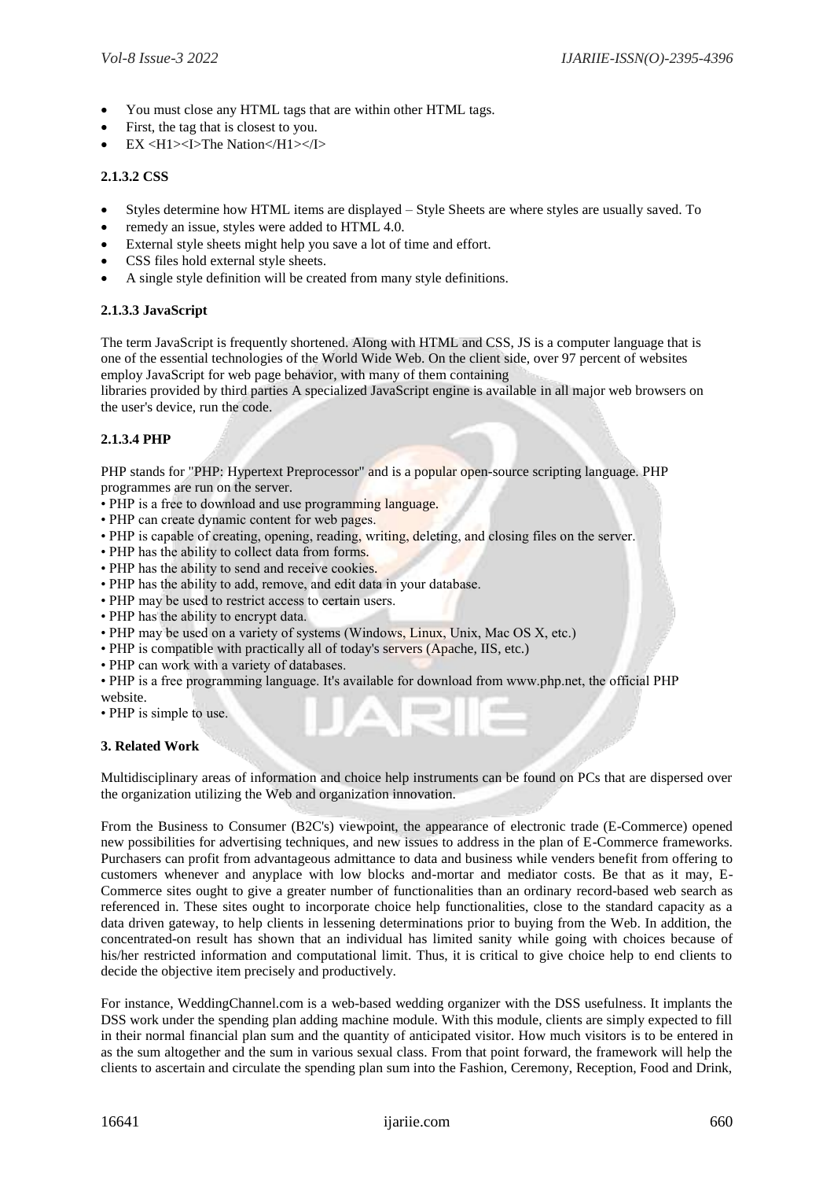- You must close any HTML tags that are within other HTML tags.
- First, the tag that is closest to you.
- EX <H1><I>The Nation</H1></I>

## **2.1.3.2 CSS**

- Styles determine how HTML items are displayed Style Sheets are where styles are usually saved. To
- remedy an issue, styles were added to HTML 4.0.
- External style sheets might help you save a lot of time and effort.
- CSS files hold external style sheets.
- A single style definition will be created from many style definitions.

## **2.1.3.3 JavaScript**

The term JavaScript is frequently shortened. Along with HTML and CSS, JS is a computer language that is one of the essential technologies of the World Wide Web. On the client side, over 97 percent of websites employ JavaScript for web page behavior, with many of them containing

libraries provided by third parties A specialized JavaScript engine is available in all major web browsers on the user's device, run the code.

## **2.1.3.4 PHP**

PHP stands for "PHP: Hypertext Preprocessor" and is a popular open-source scripting language. PHP programmes are run on the server.

- PHP is a free to download and use programming language.
- PHP can create dynamic content for web pages.
- PHP is capable of creating, opening, reading, writing, deleting, and closing files on the server.
- PHP has the ability to collect data from forms.
- PHP has the ability to send and receive cookies.
- PHP has the ability to add, remove, and edit data in your database.
- PHP may be used to restrict access to certain users.
- PHP has the ability to encrypt data.
- PHP may be used on a variety of systems (Windows, Linux, Unix, Mac OS X, etc.)
- PHP is compatible with practically all of today's servers (Apache, IIS, etc.)
- PHP can work with a variety of databases.
- PHP is a free programming language. It's available for download from www.php.net, the official PHP
- website.
- PHP is simple to use.

## **3. Related Work**

Multidisciplinary areas of information and choice help instruments can be found on PCs that are dispersed over the organization utilizing the Web and organization innovation.

From the Business to Consumer (B2C's) viewpoint, the appearance of electronic trade (E-Commerce) opened new possibilities for advertising techniques, and new issues to address in the plan of E-Commerce frameworks. Purchasers can profit from advantageous admittance to data and business while venders benefit from offering to customers whenever and anyplace with low blocks and-mortar and mediator costs. Be that as it may, E-Commerce sites ought to give a greater number of functionalities than an ordinary record-based web search as referenced in. These sites ought to incorporate choice help functionalities, close to the standard capacity as a data driven gateway, to help clients in lessening determinations prior to buying from the Web. In addition, the concentrated-on result has shown that an individual has limited sanity while going with choices because of his/her restricted information and computational limit. Thus, it is critical to give choice help to end clients to decide the objective item precisely and productively.

For instance, WeddingChannel.com is a web-based wedding organizer with the DSS usefulness. It implants the DSS work under the spending plan adding machine module. With this module, clients are simply expected to fill in their normal financial plan sum and the quantity of anticipated visitor. How much visitors is to be entered in as the sum altogether and the sum in various sexual class. From that point forward, the framework will help the clients to ascertain and circulate the spending plan sum into the Fashion, Ceremony, Reception, Food and Drink,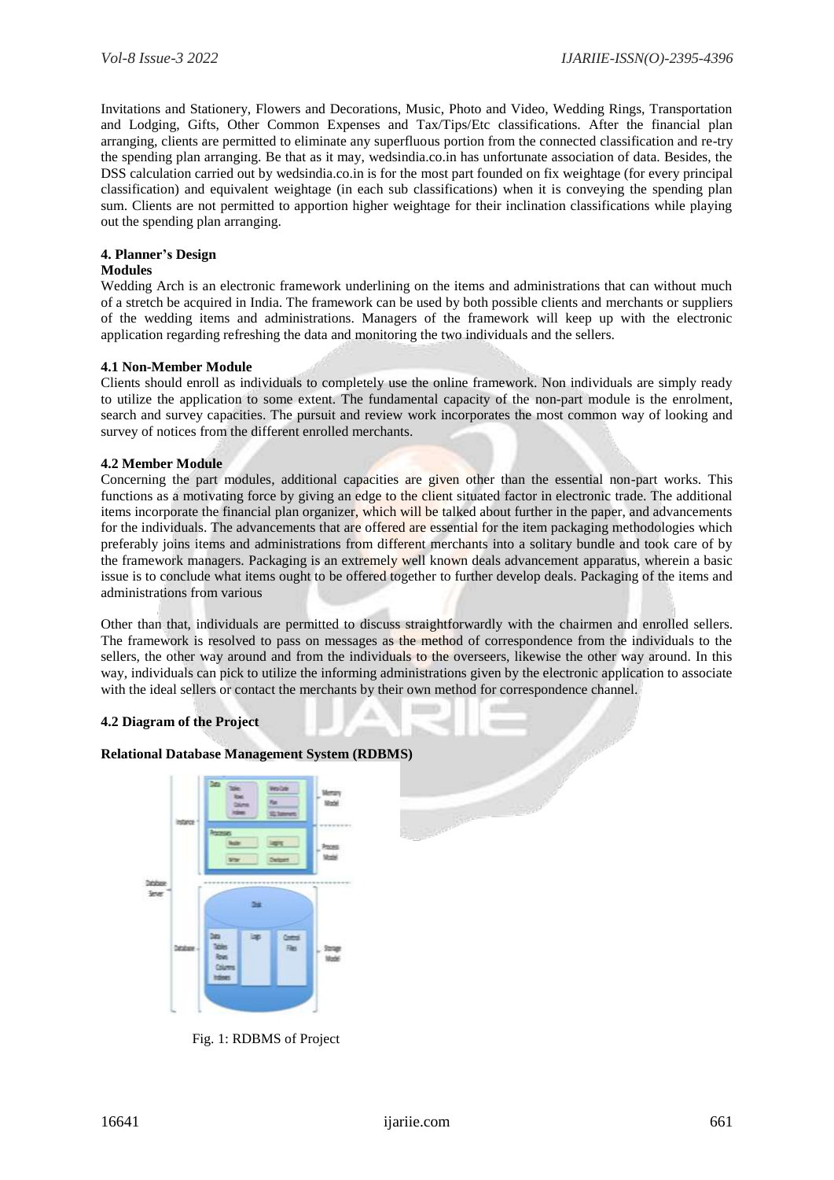Invitations and Stationery, Flowers and Decorations, Music, Photo and Video, Wedding Rings, Transportation and Lodging, Gifts, Other Common Expenses and Tax/Tips/Etc classifications. After the financial plan arranging, clients are permitted to eliminate any superfluous portion from the connected classification and re-try the spending plan arranging. Be that as it may, wedsindia.co.in has unfortunate association of data. Besides, the DSS calculation carried out by wedsindia.co.in is for the most part founded on fix weightage (for every principal classification) and equivalent weightage (in each sub classifications) when it is conveying the spending plan sum. Clients are not permitted to apportion higher weightage for their inclination classifications while playing out the spending plan arranging.

## **4. Planner's Design**

#### **Modules**

Wedding Arch is an electronic framework underlining on the items and administrations that can without much of a stretch be acquired in India. The framework can be used by both possible clients and merchants or suppliers of the wedding items and administrations. Managers of the framework will keep up with the electronic application regarding refreshing the data and monitoring the two individuals and the sellers.

## **4.1 Non-Member Module**

Clients should enroll as individuals to completely use the online framework. Non individuals are simply ready to utilize the application to some extent. The fundamental capacity of the non-part module is the enrolment, search and survey capacities. The pursuit and review work incorporates the most common way of looking and survey of notices from the different enrolled merchants.

## **4.2 Member Module**

Concerning the part modules, additional capacities are given other than the essential non-part works. This functions as a motivating force by giving an edge to the client situated factor in electronic trade. The additional items incorporate the financial plan organizer, which will be talked about further in the paper, and advancements for the individuals. The advancements that are offered are essential for the item packaging methodologies which preferably joins items and administrations from different merchants into a solitary bundle and took care of by the framework managers. Packaging is an extremely well known deals advancement apparatus, wherein a basic issue is to conclude what items ought to be offered together to further develop deals. Packaging of the items and administrations from various

Other than that, individuals are permitted to discuss straightforwardly with the chairmen and enrolled sellers. The framework is resolved to pass on messages as the method of correspondence from the individuals to the sellers, the other way around and from the individuals to the overseers, likewise the other way around. In this way, individuals can pick to utilize the informing administrations given by the electronic application to associate with the ideal sellers or contact the merchants by their own method for correspondence channel.

## **4.2 Diagram of the Project**

## **Relational Database Management System (RDBMS)**



Fig. 1: RDBMS of Project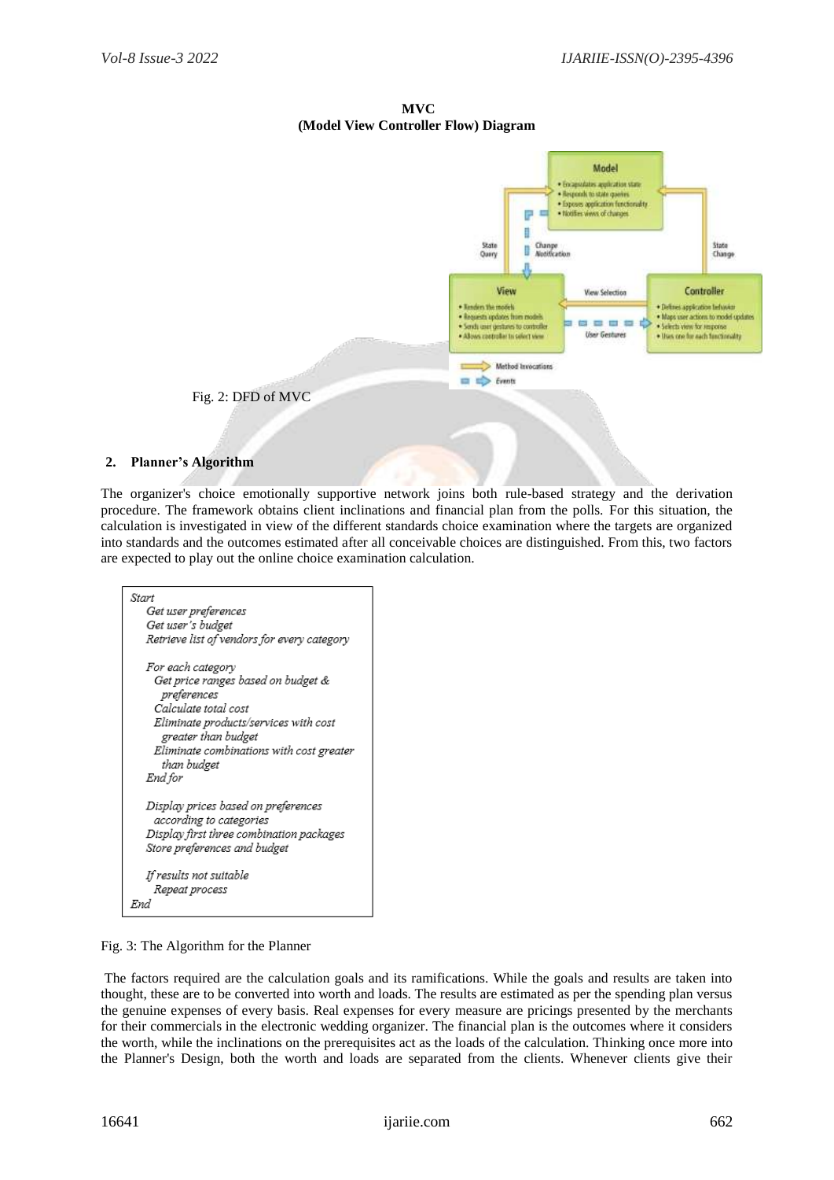**MVC (Model View Controller Flow) Diagram**



## **2. Planner's Algorithm**

The organizer's choice emotionally supportive network joins both rule-based strategy and the derivation procedure. The framework obtains client inclinations and financial plan from the polls. For this situation, the calculation is investigated in view of the different standards choice examination where the targets are organized into standards and the outcomes estimated after all conceivable choices are distinguished. From this, two factors are expected to play out the online choice examination calculation.



Fig. 3: The Algorithm for the Planner

The factors required are the calculation goals and its ramifications. While the goals and results are taken into thought, these are to be converted into worth and loads. The results are estimated as per the spending plan versus the genuine expenses of every basis. Real expenses for every measure are pricings presented by the merchants for their commercials in the electronic wedding organizer. The financial plan is the outcomes where it considers the worth, while the inclinations on the prerequisites act as the loads of the calculation. Thinking once more into the Planner's Design, both the worth and loads are separated from the clients. Whenever clients give their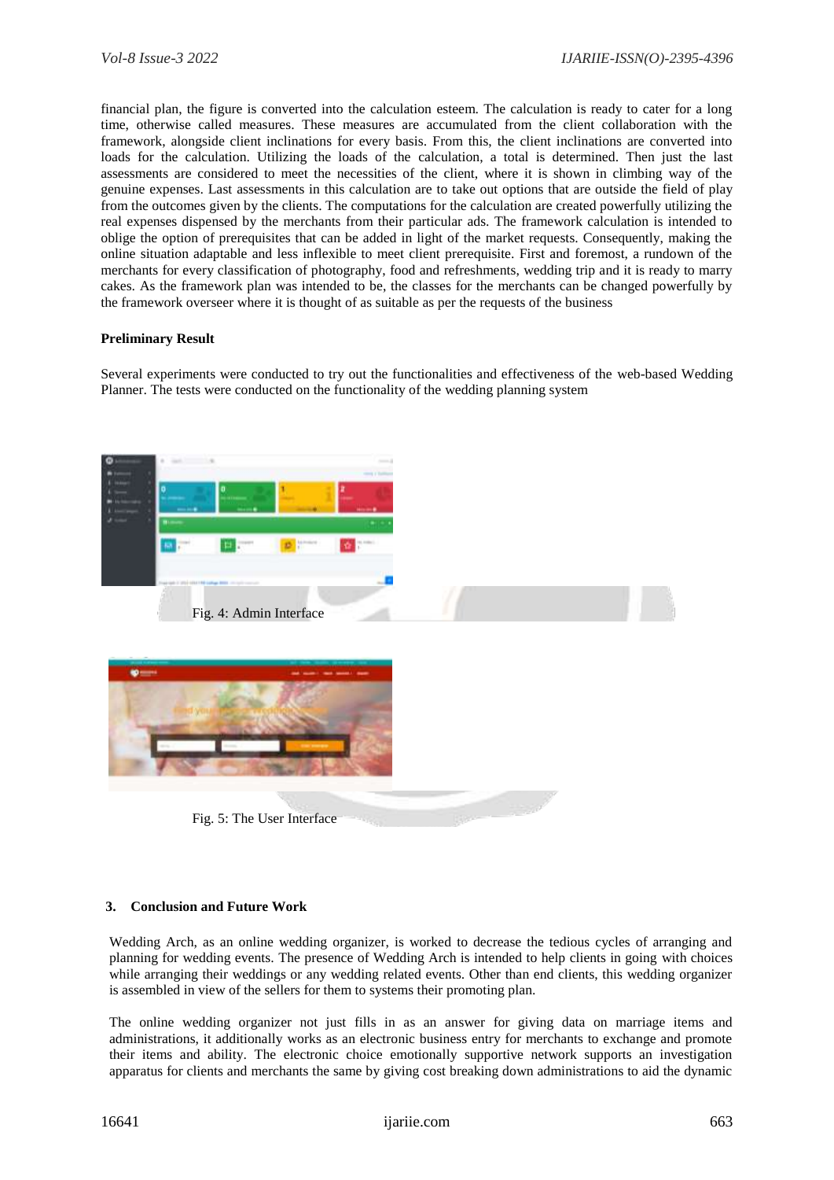financial plan, the figure is converted into the calculation esteem. The calculation is ready to cater for a long time, otherwise called measures. These measures are accumulated from the client collaboration with the framework, alongside client inclinations for every basis. From this, the client inclinations are converted into loads for the calculation. Utilizing the loads of the calculation, a total is determined. Then just the last assessments are considered to meet the necessities of the client, where it is shown in climbing way of the genuine expenses. Last assessments in this calculation are to take out options that are outside the field of play from the outcomes given by the clients. The computations for the calculation are created powerfully utilizing the real expenses dispensed by the merchants from their particular ads. The framework calculation is intended to oblige the option of prerequisites that can be added in light of the market requests. Consequently, making the online situation adaptable and less inflexible to meet client prerequisite. First and foremost, a rundown of the merchants for every classification of photography, food and refreshments, wedding trip and it is ready to marry cakes. As the framework plan was intended to be, the classes for the merchants can be changed powerfully by the framework overseer where it is thought of as suitable as per the requests of the business

## **Preliminary Result**

Several experiments were conducted to try out the functionalities and effectiveness of the web-based Wedding Planner. The tests were conducted on the functionality of the wedding planning system



## **3. Conclusion and Future Work**

Wedding Arch, as an online wedding organizer, is worked to decrease the tedious cycles of arranging and planning for wedding events. The presence of Wedding Arch is intended to help clients in going with choices while arranging their weddings or any wedding related events. Other than end clients, this wedding organizer is assembled in view of the sellers for them to systems their promoting plan.

The online wedding organizer not just fills in as an answer for giving data on marriage items and administrations, it additionally works as an electronic business entry for merchants to exchange and promote their items and ability. The electronic choice emotionally supportive network supports an investigation apparatus for clients and merchants the same by giving cost breaking down administrations to aid the dynamic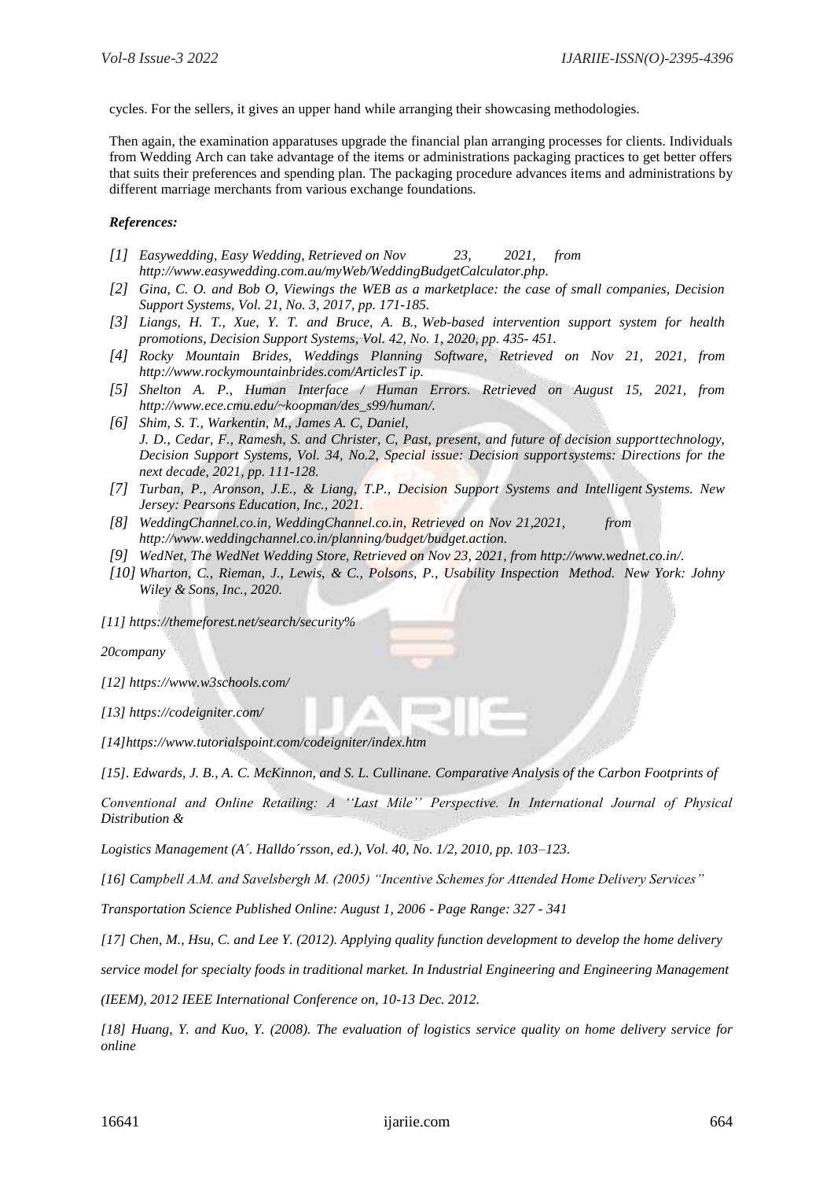cycles. For the sellers, it gives an upper hand while arranging their showcasing methodologies.

Then again, the examination apparatuses upgrade the financial plan arranging processes for clients. Individuals from Wedding Arch can take advantage of the items or administrations packaging practices to get better offers that suits their preferences and spending plan. The packaging procedure advances items and administrations by different marriage merchants from various exchange foundations.

## *References:*

- *[1] Easywedding, Easy Wedding, Retrieved on Nov 23, 2021, from [http://www.easywedding.com.au/myWeb/Wedd](http://www.easyweddings.com.au/myWeb/Wed)ingBudgetCalculator.php.*
- *[2] Gina, C. O. and Bob O, Viewings the WEB as a marketplace: the case of small companies, Decision Support Systems, Vol. 21, No. 3, 2017, pp. 171-185.*
- *[3] Liangs, H. T., Xue, Y. T. and Bruce, A. B., Web-based intervention support system for health promotions, Decision Support Systems, Vol. 42, No. 1, 2020, pp. 435- 451.*
- *[4] Rocky Mountain Brides, Weddings Planning Software, Retrieved on Nov 21, 2021, from [http://www.rockymountainbrides.com/ArticlesT](http://www.rockymountainbride.com/ArticlesT) ip.*
- *[5] Shelton A. P., Human Interface / Human Errors. Retrieved on August 15, 2021, from [http://www.ece.cmu.edu/~koopman/des\\_s99/hum](http://www.ece.cmu.edu/~koopman/des_s99/hu)an/.*
- *[6] Shim, S. T., Warkentin, M., James A. C, Daniel, J. D., Cedar, F., Ramesh, S. and Christer, C, Past, present, and future of decision supporttechnology, Decision Support Systems, Vol. 34, No.2, Special issue: Decision supportsystems: Directions for the next decade, 2021, pp. 111-128.*
- *[7] Turban, P., Aronson, J.E., & Liang, T.P., Decision Support Systems and Intelligent Systems. New Jersey: Pearsons Education, Inc., 2021.*
- *[8] WeddingChannel.co.in, WeddingChannel.co.in, Retrieved on Nov 21,2021, from [http://www.weddingchannel.co.in/planning/budg](http://www.weddingchannel.com/planning/bud)et/budget.action.*
- *[9] WedNet, The WedNet Wedding Store, Retrieved on Nov 23, 2021, from [http://www.wednet.co.in/.](http://www.wednet.com/)*
- *[10] Wharton, C., Rieman, J., Lewis, & C., Polsons, P., Usability Inspection Method. New York: Johny Wiley & Sons, Inc., 2020.*

*[11] https://themeforest.net/search/security%*

*20company*

*[12]<https://www.w3schools.com/>*

*[13]<https://codeigniter.com/>*

*[14[\]https://www.tutorialspoint.com/codeigniter/index.htm](https://www.tutorialspoint.com/codeigniter/index.htm)*

*[15]. Edwards, J. B., A. C. McKinnon, and S. L. Cullinane. Comparative Analysis of the Carbon Footprints of*

*Conventional and Online Retailing: A ''Last Mile'' Perspective. In International Journal of Physical Distribution &*

*Logistics Management (A´. Halldo´rsson, ed.), Vol. 40, No. 1/2, 2010, pp. 103–123.*

*[16] Campbell A.M. and Savelsbergh M. (2005) "Incentive Schemes for Attended Home Delivery Services"*

*Transportation Science Published Online: August 1, 2006 - Page Range: 327 - 341*

*[17] Chen, M., Hsu, C. and Lee Y. (2012). Applying quality function development to develop the home delivery*

*service model for specialty foods in traditional market. In Industrial Engineering and Engineering Management*

*(IEEM), 2012 IEEE International Conference on, 10-13 Dec. 2012.*

*[18] Huang, Y. and Kuo, Y. (2008). The evaluation of logistics service quality on home delivery service for online*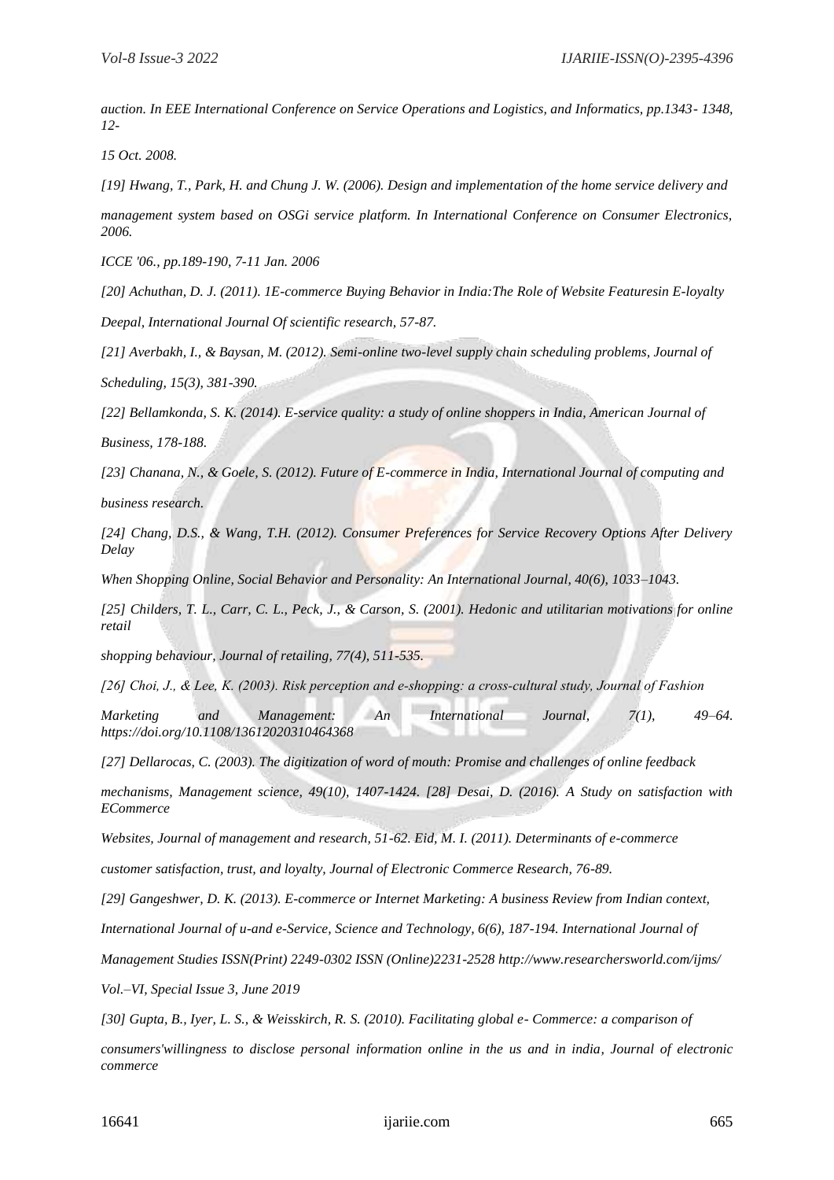*auction. In EEE International Conference on Service Operations and Logistics, and Informatics, pp.1343- 1348, 12-*

*15 Oct. 2008.*

*[19] Hwang, T., Park, H. and Chung J. W. (2006). Design and implementation of the home service delivery and*

*management system based on OSGi service platform. In International Conference on Consumer Electronics, 2006.*

*ICCE '06., pp.189-190, 7-11 Jan. 2006*

*[20] Achuthan, D. J. (2011). 1E-commerce Buying Behavior in India:The Role of Website Featuresin E-loyalty*

*Deepal, International Journal Of scientific research, 57-87.*

*[21] Averbakh, I., & Baysan, M. (2012). Semi-online two-level supply chain scheduling problems, Journal of*

*Scheduling, 15(3), 381-390.*

*[22] Bellamkonda, S. K. (2014). E-service quality: a study of online shoppers in India, American Journal of*

*Business, 178-188.*

*[23] Chanana, N., & Goele, S. (2012). Future of E-commerce in India, International Journal of computing and*

*business research.*

*[24] Chang, D.S., & Wang, T.H. (2012). Consumer Preferences for Service Recovery Options After Delivery Delay*

*When Shopping Online, Social Behavior and Personality: An International Journal, 40(6), 1033–1043.*

*[25] Childers, T. L., Carr, C. L., Peck, J., & Carson, S. (2001). Hedonic and utilitarian motivations for online retail*

*shopping behaviour, Journal of retailing, 77(4), 511-535.*

*[26] Choi, J., & Lee, K. (2003). Risk perception and e‐shopping: a cross‐cultural study, Journal of Fashion*

*Marketing and Management: An International Journal, 7(1), 49–64. https://doi.org/10.1108/13612020310464368*

*[27] Dellarocas, C. (2003). The digitization of word of mouth: Promise and challenges of online feedback*

*mechanisms, Management science, 49(10), 1407-1424. [28] Desai, D. (2016). A Study on satisfaction with ECommerce*

*Websites, Journal of management and research, 51-62. Eid, M. I. (2011). Determinants of e-commerce*

*customer satisfaction, trust, and loyalty, Journal of Electronic Commerce Research, 76-89.*

*[29] Gangeshwer, D. K. (2013). E-commerce or Internet Marketing: A business Review from Indian context,*

*International Journal of u-and e-Service, Science and Technology, 6(6), 187-194. International Journal of*

*Management Studies ISSN(Print) 2249-0302 ISSN (Online)2231-2528 http://www.researchersworld.com/ijms/*

*Vol.–VI, Special Issue 3, June 2019*

*[30] Gupta, B., Iyer, L. S., & Weisskirch, R. S. (2010). Facilitating global e- Commerce: a comparison of*

*consumers'willingness to disclose personal information online in the us and in india, Journal of electronic commerce*